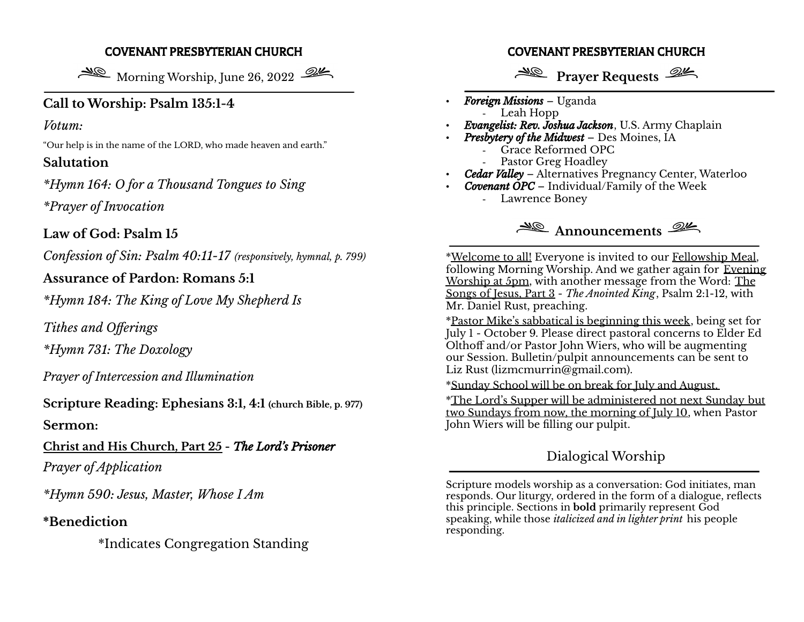#### COVENANT PRESBYTERIAN CHURCH

Morning Worship, June 26, 2022

## **Call to Worship: Psalm 135:1-4**

### *Votum:*

"Our help is in the name of the LORD, who made heaven and earth."

## **Salutation**

*\*Hymn 164: O for a Thousand Tongues to Sing \*Prayer of Invocation*

**Law of God: Psalm 15**

*Confession of Sin: Psalm 40:11-17 (responsively, hymnal, p. 799)*

## **Assurance of Pardon: Romans 5:1**

*\*Hymn 184: The King of Love My Shepherd Is*

*Tithes and Offerings*

*\*Hymn 731: The Doxology*

*Prayer of Intercession and Illumination*

**Scripture Reading: Ephesians 3:1, 4:1 (church Bible, p. 977)**

**Sermon:**

**Christ and His Church, Part 25 -** *The Lord's Prisoner Prayer of Application*

*\*Hymn 590: Jesus, Master, Whose I Am*

## **\*Benediction**

\*Indicates Congregation Standing

#### COVENANT PRESBYTERIAN CHURCH

# **Prayer Requests**

- *Foreign Missions* Uganda - Leah Hopp
- *Evangelist: Rev. Joshua Jackson*, U.S. Army Chaplain
- *Presbytery of the Midwest* Des Moines, IA
	- Grace Reformed OPC
	- Pastor Greg Hoadley
- *Cedar Valley* Alternatives Pregnancy Center, Waterloo
- *Covenant OPC* Individual/Family of the Week - Lawrence Boney



\*Welcome to all! Everyone is invited to our Fellowship Meal, following Morning Worship. And we gather again for Evening Worship at 5pm, with another message from the Word: The Songs of Jesus, Part 3 - *The Anointed King*, Psalm 2:1-12, with Mr. Daniel Rust, preaching.

\*Pastor Mike's sabbatical is beginning this week, being set for July 1 - October 9. Please direct pastoral concerns to Elder Ed Olthoff and/or Pastor John Wiers, who will be augmenting our Session. Bulletin/pulpit announcements can be sent to Liz Rust (lizmcmurrin@gmail.com).

\*Sunday School will be on break for July and August.

\*The Lord's Supper will be administered not next Sunday but two Sundays from now, the morning of July 10, when Pastor John Wiers will be filling our pulpit.

# Dialogical Worship

Scripture models worship as a conversation: God initiates, man responds. Our liturgy, ordered in the form of a dialogue, reflects this principle. Sections in **bold** primarily represent God speaking, while those *italicized and in lighter print* his people responding.